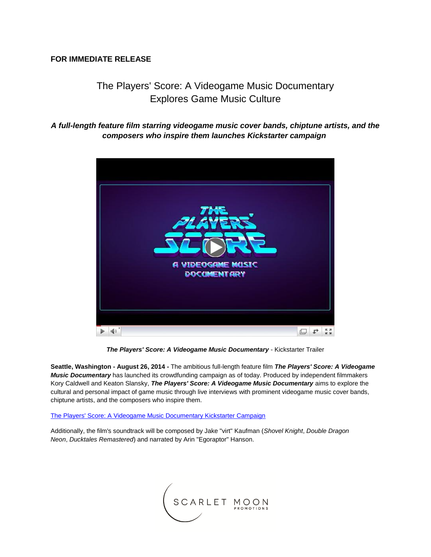## **FOR IMMEDIATE RELEASE**

# The Players' Score: A Videogame Music Documentary Explores Game Music Culture

# *A full-length feature film starring videogame music cover bands, chiptune artists, and the composers who inspire them launches Kickstarter campaign*



*The Players' Score: A Videogame Music Documentary* - Kickstarter Trailer

**Seattle, Washington - August 26, 2014 -** The ambitious full-length feature film *The Players' Score: A Videogame Music Documentary* has launched its crowdfunding campaign as of today. Produced by independent filmmakers Kory Caldwell and Keaton Slansky, *The Players' Score: A Videogame Music Documentary* aims to explore the cultural and personal impact of game music through live interviews with prominent videogame music cover bands, chiptune artists, and the composers who inspire them.

#### [The Players' Score: A Videogame Music Documentary Kickstarter Campaign](http://r20.rs6.net/tn.jsp?e=001h8ehkgGpml3lZSyaVZNfd5B9sa6wdyJh9bdBneWUyOXKeExhQ6pqyKQVZntM4LwPxEmv8q-8EbAf0O5co7wlkbnvV7_G_zgO4FpxPem-PjnHWofCVuaQN_OLtXM6G471nRCHQzR2j2R3vF1fuZhdIBxQlGU_g8IsIiQuP8AwN8uS9YEkPJQ787xt7c3mbYHPTZ-Ozp7ZoBPnlAoWvIbAqg==)

Additionally, the film's soundtrack will be composed by Jake "virt" Kaufman (*Shovel Knight*, *Double Dragon Neon*, *Ducktales Remastered*) and narrated by Arin "Egoraptor" Hanson.

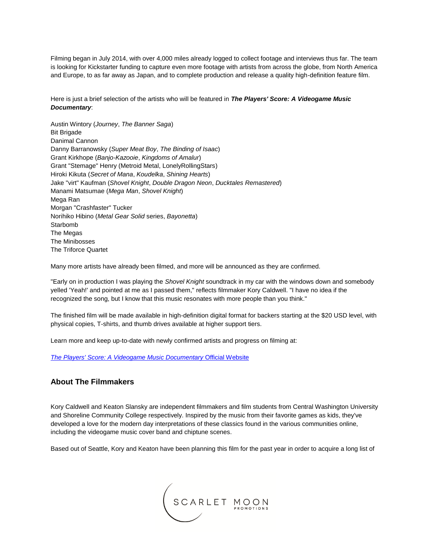Filming began in July 2014, with over 4,000 miles already logged to collect footage and interviews thus far. The team is looking for Kickstarter funding to capture even more footage with artists from across the globe, from North America and Europe, to as far away as Japan, and to complete production and release a quality high-definition feature film.

Here is just a brief selection of the artists who will be featured in *The Players' Score: A Videogame Music Documentary*:

Austin Wintory (*Journey*, *The Banner Saga*) Bit Brigade Danimal Cannon Danny Barranowsky (*Super Meat Boy*, *The Binding of Isaac*) Grant Kirkhope (*Banjo-Kazooie*, *Kingdoms of Amalur*) Grant "Stemage" Henry (Metroid Metal, LonelyRollingStars) Hiroki Kikuta (*Secret of Mana*, *Koudelka*, *Shining Hearts*) Jake "virt" Kaufman (*Shovel Knight*, *Double Dragon Neon*, *Ducktales Remastered*) Manami Matsumae (*Mega Man*, *Shovel Knight*) Mega Ran Morgan "Crashfaster" Tucker Norihiko Hibino (*Metal Gear Solid* series, *Bayonetta*) Starbomb The Megas The Minibosses The Triforce Quartet

Many more artists have already been filmed, and more will be announced as they are confirmed.

"Early on in production I was playing the *Shovel Knight* soundtrack in my car with the windows down and somebody yelled 'Yeah!' and pointed at me as I passed them," reflects filmmaker Kory Caldwell. "I have no idea if the recognized the song, but I know that this music resonates with more people than you think."

The finished film will be made available in high-definition digital format for backers starting at the \$20 USD level, with physical copies, T-shirts, and thumb drives available at higher support tiers.

Learn more and keep up-to-date with newly confirmed artists and progress on filming at:

*[The Players' Score: A Videogame Music Documentary](http://r20.rs6.net/tn.jsp?e=001h8ehkgGpml3lZSyaVZNfd5B9sa6wdyJh9bdBneWUyOXKeExhQ6pqyKQVZntM4LwPGNAY9x_iQp-Xd69e3grvDGJrjYlbANlPFjRJGKP0wJQTWfsF3S6Pjg==)* Official Website

## **About The Filmmakers**

Kory Caldwell and Keaton Slansky are independent filmmakers and film students from Central Washington University and Shoreline Community College respectively. Inspired by the music from their favorite games as kids, they've developed a love for the modern day interpretations of these classics found in the various communities online, including the videogame music cover band and chiptune scenes.

Based out of Seattle, Kory and Keaton have been planning this film for the past year in order to acquire a long list of